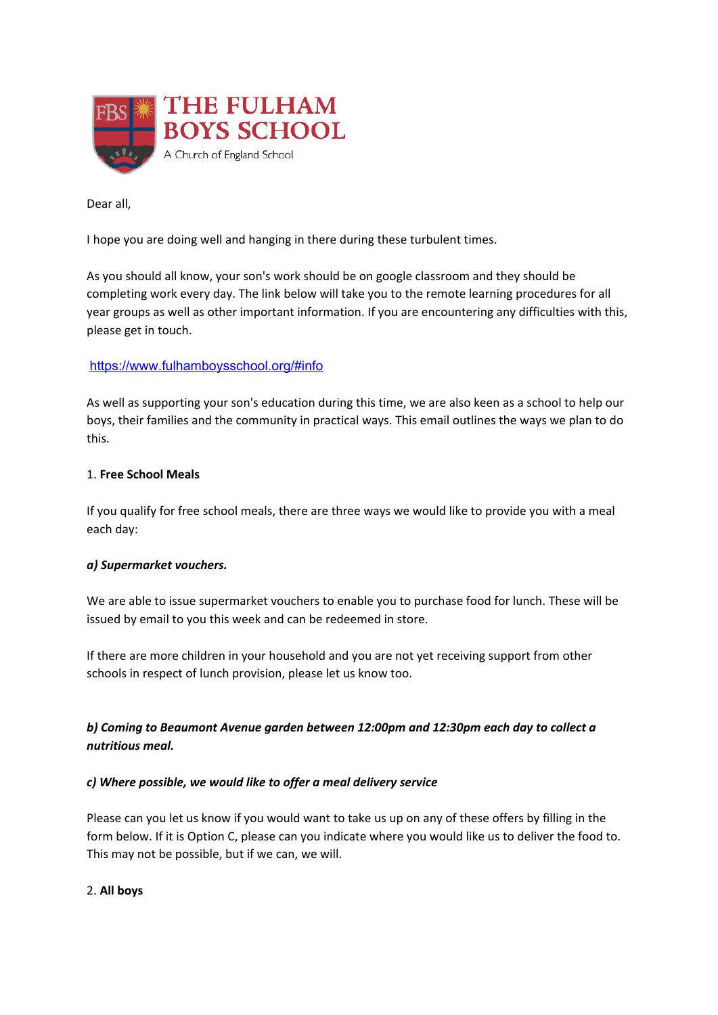

Dear all,

I hope you are doing well and hanging in there during these turbulent times.

As you should all know, your son's work should be on google classroom and they should be completing work every day. The link below will take you to the remote learning procedures for all year groups as well as other important information. If you are encountering any difficulties with this, please get in touch.

### <https://www.fulhamboysschool.org/#info>

As well as supporting your son's education during this time, we are also keen as a school to help our boys, their families and the community in practical ways. This email outlines the ways we plan to do this.

#### 1. **Free School Meals**

If you qualify for free school meals, there are three ways we would like to provide you with a meal each day:

#### *a) Supermarket vouchers.*

We are able to issue supermarket vouchers to enable you to purchase food for lunch. These will be issued by email to you this week and can be redeemed in store.

If there are more children in your household and you are not yet receiving support from other schools in respect of lunch provision, please let us know too.

# *b) Coming to Beaumont Avenue garden between 12:00pm and 12:30pm each day to collect a nutritious meal.*

#### *c) Where possible, we would like to offer a meal delivery service*

Please can you let us know if you would want to take us up on any of these offers by filling in the form below. If it is Option C, please can you indicate where you would like us to deliver the food to. This may not be possible, but if we can, we will.

### 2. **All boys**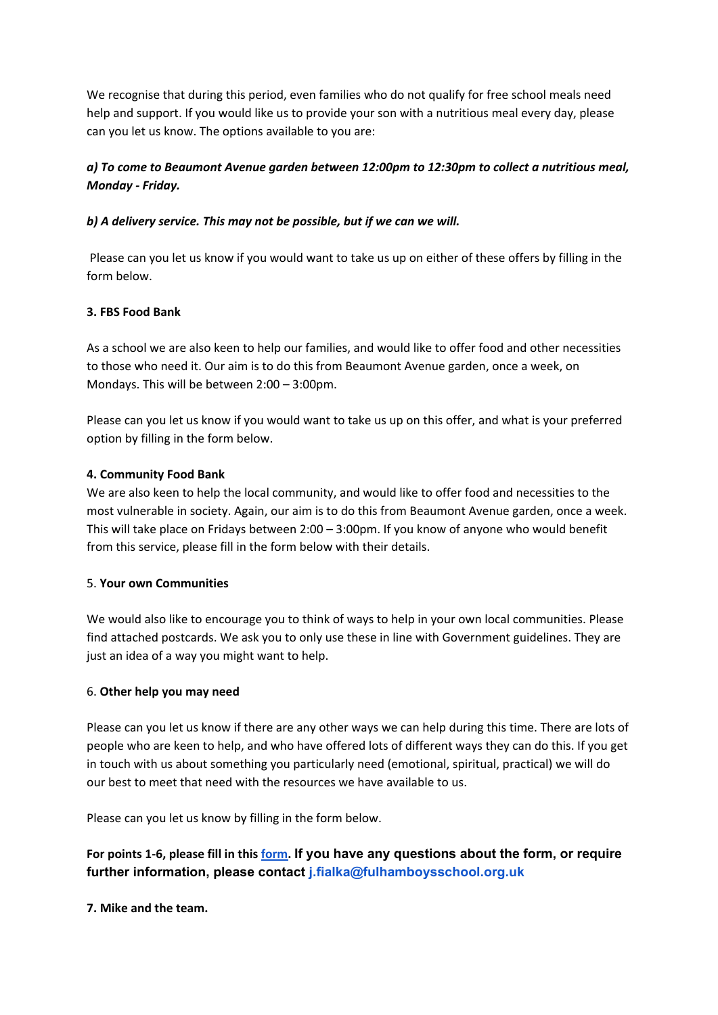We recognise that during this period, even families who do not qualify for free school meals need help and support. If you would like us to provide your son with a nutritious meal every day, please can you let us know. The options available to you are:

# *a) To come to Beaumont Avenue garden between 12:00pm to 12:30pm to collect a nutritious meal, Monday - Friday.*

### *b) A delivery service. This may not be possible, but if we can we will.*

Please can you let us know if you would want to take us up on either of these offers by filling in the form below.

### **3. FBS Food Bank**

As a school we are also keen to help our families, and would like to offer food and other necessities to those who need it. Our aim is to do this from Beaumont Avenue garden, once a week, on Mondays. This will be between 2:00 – 3:00pm.

Please can you let us know if you would want to take us up on this offer, and what is your preferred option by filling in the form below.

#### **4. Community Food Bank**

We are also keen to help the local community, and would like to offer food and necessities to the most vulnerable in society. Again, our aim is to do this from Beaumont Avenue garden, once a week. This will take place on Fridays between  $2:00 - 3:00$  pm. If you know of anyone who would benefit from this service, please fill in the form below with their details.

### 5. **Your own Communities**

We would also like to encourage you to think of ways to help in your own local communities. Please find attached postcards. We ask you to only use these in line with Government guidelines. They are just an idea of a way you might want to help.

#### 6. **Other help you may need**

Please can you let us know if there are any other ways we can help during this time. There are lots of people who are keen to help, and who have offered lots of different ways they can do this. If you get in touch with us about something you particularly need (emotional, spiritual, practical) we will do our best to meet that need with the resources we have available to us.

Please can you let us know by filling in the form below.

# For points 1-6, please fill in this [form](https://docs.google.com/forms/d/e/1FAIpQLSeNNGz5nW5vJJd3NaPDUFw1XQa9Iq2msZPAubRyUtEYCleByQ/viewform?usp=sf_link). If you have any questions about the form, or require **further information, please contact j.fialka@fulhamboysschool.org.uk**

**7. Mike and the team.**